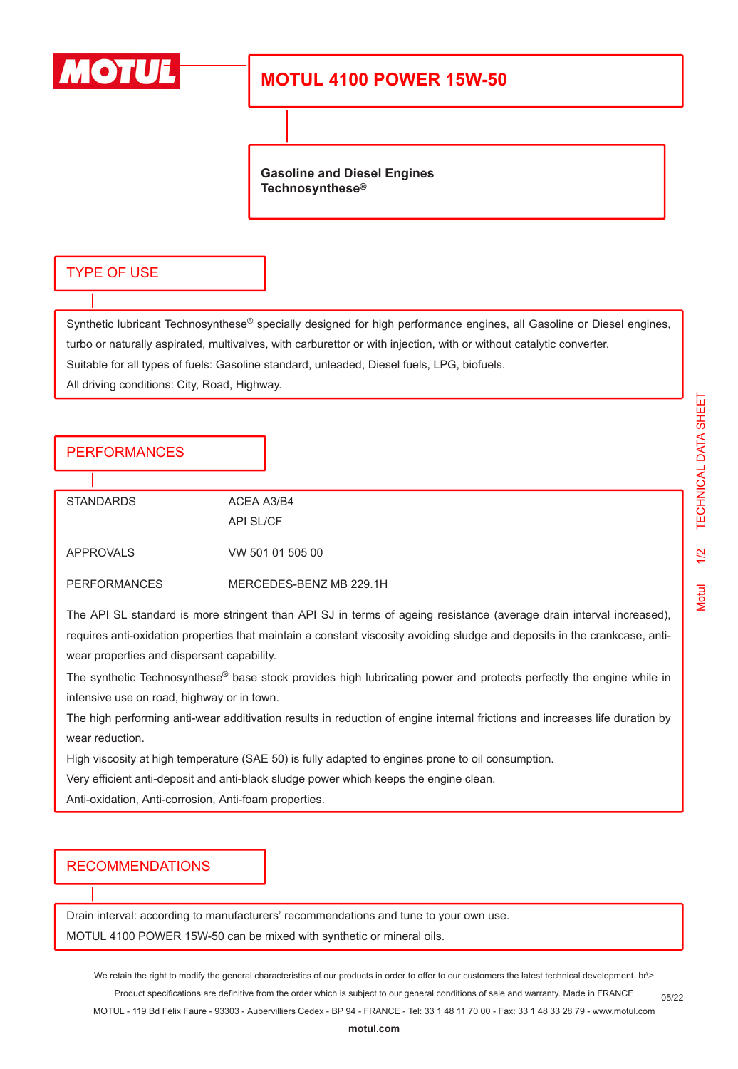

# **MOTUL 4100 POWER 15W-50**

**Gasoline and Diesel Engines Technosynthese®**

#### TYPE OF USE

Synthetic lubricant Technosynthese® specially designed for high performance engines, all Gasoline or Diesel engines, turbo or naturally aspirated, multivalves, with carburettor or with injection, with or without catalytic converter. Suitable for all types of fuels: Gasoline standard, unleaded, Diesel fuels, LPG, biofuels.

All driving conditions: City, Road, Highway.

### PERFORMANCES

STANDARDS ACEA A3/B4 API SL/CF APPROVALS VW 501 01 505 00

PERFORMANCES MERCEDES-BENZ MB 229.1H

The API SL standard is more stringent than API SJ in terms of ageing resistance (average drain interval increased), requires anti-oxidation properties that maintain a constant viscosity avoiding sludge and deposits in the crankcase, antiwear properties and dispersant capability.

The synthetic Technosynthese<sup>®</sup> base stock provides high lubricating power and protects perfectly the engine while in intensive use on road, highway or in town.

The high performing anti-wear additivation results in reduction of engine internal frictions and increases life duration by wear reduction.

High viscosity at high temperature (SAE 50) is fully adapted to engines prone to oil consumption.

Very efficient anti-deposit and anti-black sludge power which keeps the engine clean.

Anti-oxidation, Anti-corrosion, Anti-foam properties.

### RECOMMENDATIONS

Drain interval: according to manufacturers' recommendations and tune to your own use. MOTUL 4100 POWER 15W-50 can be mixed with synthetic or mineral oils.

We retain the right to modify the general characteristics of our products in order to offer to our customers the latest technical development. br\> Product specifications are definitive from the order which is subject to our general conditions of sale and warranty. Made in FRANCE MOTUL - 119 Bd Félix Faure - 93303 - Aubervilliers Cedex - BP 94 - FRANCE - Tel: 33 1 48 11 70 00 - Fax: 33 1 48 33 28 79 - www.motul.com 05/22